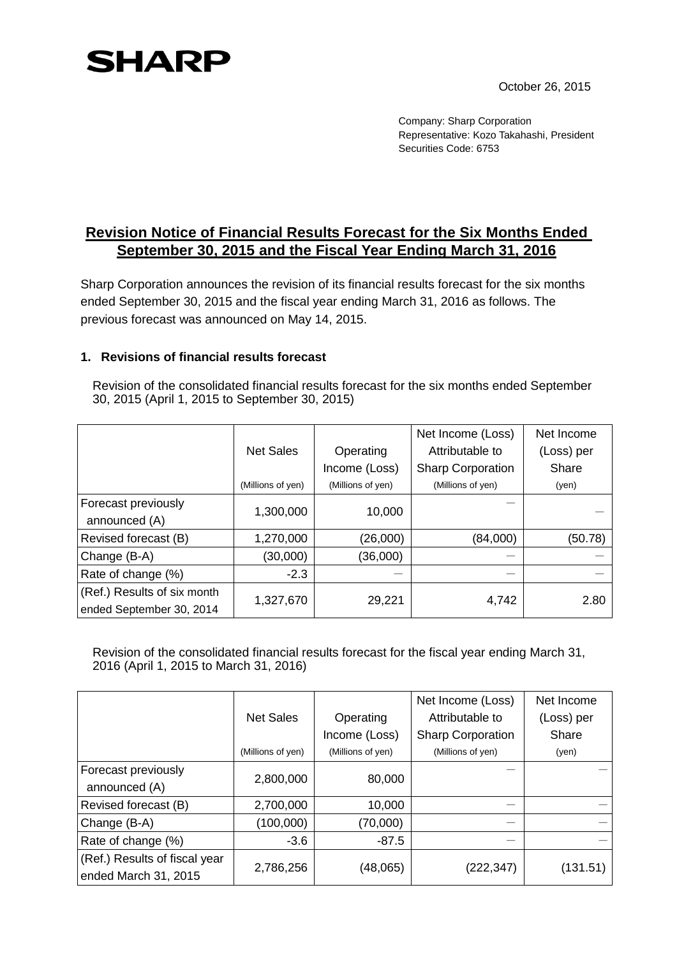## **SHARP**

October 26, 2015

Company: Sharp Corporation Representative: Kozo Takahashi, President Securities Code: 6753

## **Revision Notice of Financial Results Forecast for the Six Months Ended September 30, 2015 and the Fiscal Year Ending March 31, 2016**

Sharp Corporation announces the revision of its financial results forecast for the six months ended September 30, 2015 and the fiscal year ending March 31, 2016 as follows. The previous forecast was announced on May 14, 2015.

## **1. Revisions of financial results forecast**

Revision of the consolidated financial results forecast for the six months ended September 30, 2015 (April 1, 2015 to September 30, 2015)

|                             |                   |                   | Net Income (Loss)        | Net Income |
|-----------------------------|-------------------|-------------------|--------------------------|------------|
|                             | <b>Net Sales</b>  | Operating         | Attributable to          | (Loss) per |
|                             |                   | Income (Loss)     | <b>Sharp Corporation</b> | Share      |
|                             | (Millions of yen) | (Millions of yen) | (Millions of yen)        | (yen)      |
| Forecast previously         | 1,300,000         | 10,000            |                          |            |
| announced (A)               |                   |                   |                          |            |
| Revised forecast (B)        | 1,270,000         | (26,000)          | (84,000)                 | (50.78)    |
| Change (B-A)                | (30,000)          | (36,000)          |                          |            |
| Rate of change (%)          | $-2.3$            |                   |                          |            |
| (Ref.) Results of six month | 1,327,670         | 29,221            | 4,742                    | 2.80       |
| ended September 30, 2014    |                   |                   |                          |            |

Revision of the consolidated financial results forecast for the fiscal year ending March 31, 2016 (April 1, 2015 to March 31, 2016)

|                               |                   |                   | Net Income (Loss)        | Net Income |
|-------------------------------|-------------------|-------------------|--------------------------|------------|
|                               | <b>Net Sales</b>  | Operating         | Attributable to          | (Loss) per |
|                               |                   | Income (Loss)     | <b>Sharp Corporation</b> | Share      |
|                               | (Millions of yen) | (Millions of yen) | (Millions of yen)        | (yen)      |
| Forecast previously           | 2,800,000         | 80,000            |                          |            |
| announced (A)                 |                   |                   |                          |            |
| Revised forecast (B)          | 2,700,000         | 10,000            |                          |            |
| Change (B-A)                  | (100,000)         | (70,000)          |                          |            |
| Rate of change (%)            | $-3.6$            | $-87.5$           |                          |            |
| (Ref.) Results of fiscal year | 2,786,256         | (48,065)          | (222,347)                | (131.51)   |
| ended March 31, 2015          |                   |                   |                          |            |